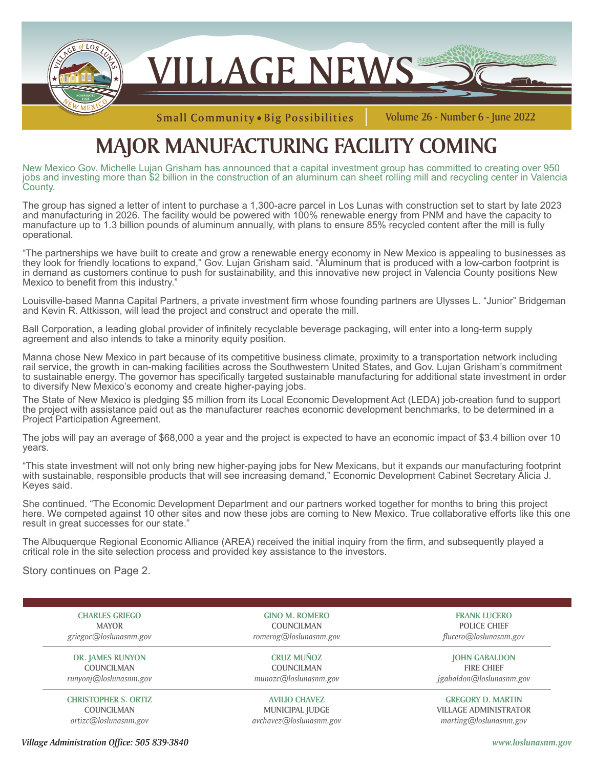

VILLAGE NEWS

**Small Community • Big Possibilities** 

Volume 26 - Number 6 - June 2022

### **MAJOR MANUFACTURING FACILITY COMING**

New Mexico Gov. Michelle Lujan Grisham has announced that a capital investment group has committed to creating over 950 jobs and investing more than \$2 billion in the construction of an aluminum can sheet rolling mill and recycling center in Valencia County.

The group has signed a letter of intent to purchase a 1,300-acre parcel in Los Lunas with construction set to start by late 2023 and manufacturing in 2026. The facility would be powered with 100% renewable energy from PNM and have the capacity to manufacture up to 1.3 billion pounds of aluminum annually, with plans to ensure 85% recycled content after the mill is fully operational.

"The partnerships we have built to create and grow a renewable energy economy in New Mexico is appealing to businesses as they look for friendly locations to expand," Gov. Lujan Grisham said. "Aluminum that is produced with a low-carbon footprint is in demand as customers continue to push for sustainability, and this innovative new project in Valencia County positions New Mexico to benefit from this industry."

Louisville-based Manna Capital Partners, a private investment firm whose founding partners are Ulysses L. "Junior" Bridgeman and Kevin R. Attkisson, will lead the project and construct and operate the mill.

Ball Corporation, a leading global provider of infinitely recyclable beverage packaging, will enter into a long-term supply agreement and also intends to take a minority equity position.

Manna chose New Mexico in part because of its competitive business climate, proximity to a transportation network including rail service, the growth in can-making facilities across the Southwestern United States, and Gov. Lujan Grisham's commitment to sustainable energy. The governor has specifically targeted sustainable manufacturing for additional state investment in order to diversify New Mexico's economy and create higher-paying jobs.

The State of New Mexico is pledging \$5 million from its Local Economic Development Act (LEDA) job-creation fund to support the project with assistance paid out as the manufacturer reaches economic development benchmarks, to be determined in a Project Participation Agreement.

The jobs will pay an average of \$68,000 a year and the project is expected to have an economic impact of \$3.4 billion over 10 years.

"This state investment will not only bring new higher-paying jobs for New Mexicans, but it expands our manufacturing footprint with sustainable, responsible products that will see increasing demand," Economic Development Cabinet Secretary Alicia J. Keyes said.

She continued. "The Economic Development Department and our partners worked together for months to bring this project here. We competed against 10 other sites and now these jobs are coming to New Mexico. True collaborative efforts like this one result in great successes for our state."

The Albuquerque Regional Economic Alliance (AREA) received the initial inquiry from the firm, and subsequently played a critical role in the site selection process and provided key assistance to the investors.

Story continues on Page 2.

**CHARLES GRIEGO** MAYOR *griegoc@loslunasnm.gov*

**DR. JAMES RUNYON** COUNCILMAN *runyonj@loslunasnm.gov*

**CHRISTOPHER S. ORTIZ** COUNCILMAN *ortizc@loslunasnm.gov*

**GINO M. ROMERO** COUNCILMAN *romerog@loslunasnm.gov*

**CRUZ MUÑOZ** COUNCILMAN *munozc@loslunasnm.gov*

**AVILIO CHAVEZ** MUNICIPAL JUDGE *avchavez@loslunasnm.gov*

**FRANK LUCERO** POLICE CHIEF *flucero@loslunasnm.gov*

**JOHN GABALDON** FIRE CHIEF *jgabaldon@loslunasnm.gov*

**GREGORY D. MARTIN**  VILLAGE ADMINISTRATOR *marting@loslunasnm.gov*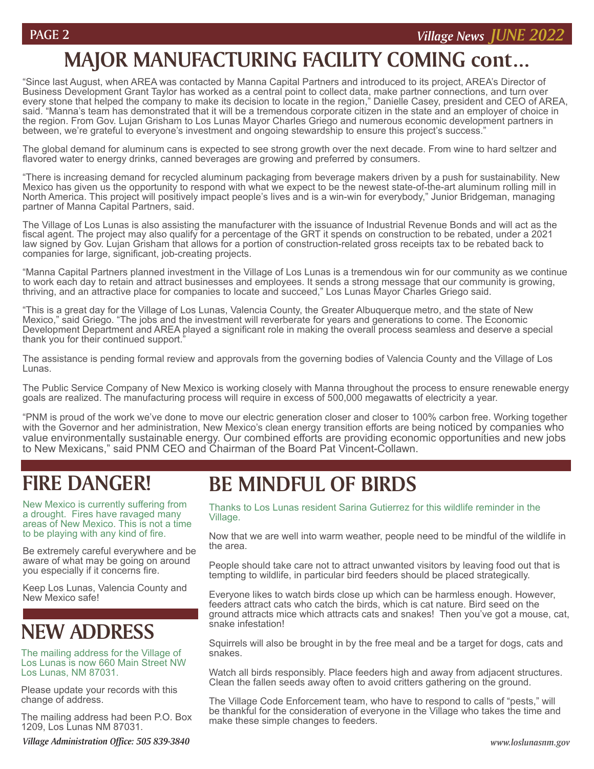## **MAJOR MANUFACTURING FACILITY COMING cont...**

"Since last August, when AREA was contacted by Manna Capital Partners and introduced to its project, AREA's Director of Business Development Grant Taylor has worked as a central point to collect data, make partner connections, and turn over every stone that helped the company to make its decision to locate in the region," Danielle Casey, president and CEO of AREA, said. "Manna's team has demonstrated that it will be a tremendous corporate citizen in the state and an employer of choice in the region. From Gov. Lujan Grisham to Los Lunas Mayor Charles Griego and numerous economic development partners in between, we're grateful to everyone's investment and ongoing stewardship to ensure this project's success."

The global demand for aluminum cans is expected to see strong growth over the next decade. From wine to hard seltzer and flavored water to energy drinks, canned beverages are growing and preferred by consumers.

"There is increasing demand for recycled aluminum packaging from beverage makers driven by a push for sustainability. New Mexico has given us the opportunity to respond with what we expect to be the newest state-of-the-art aluminum rolling mill in North America. This project will positively impact people's lives and is a win-win for everybody," Junior Bridgeman, managing partner of Manna Capital Partners, said.

The Village of Los Lunas is also assisting the manufacturer with the issuance of Industrial Revenue Bonds and will act as the fiscal agent. The project may also qualify for a percentage of the GRT it spends on construction to be rebated, under a 2021 law signed by Gov. Lujan Grisham that allows for a portion of construction-related gross receipts tax to be rebated back to companies for large, significant, job-creating projects.

"Manna Capital Partners planned investment in the Village of Los Lunas is a tremendous win for our community as we continue to work each day to retain and attract businesses and employees. It sends a strong message that our community is growing, thriving, and an attractive place for companies to locate and succeed," Los Lunas Mayor Charles Griego said.

"This is a great day for the Village of Los Lunas, Valencia County, the Greater Albuquerque metro, and the state of New Mexico," said Griego. "The jobs and the investment will reverberate for years and generations to come. The Economic Development Department and AREA played a significant role in making the overall process seamless and deserve a special thank you for their continued support."

The assistance is pending formal review and approvals from the governing bodies of Valencia County and the Village of Los Lunas.

The Public Service Company of New Mexico is working closely with Manna throughout the process to ensure renewable energy goals are realized. The manufacturing process will require in excess of 500,000 megawatts of electricity a year.

"PNM is proud of the work we've done to move our electric generation closer and closer to 100% carbon free. Working together with the Governor and her administration, New Mexico's clean energy transition efforts are being noticed by companies who value environmentally sustainable energy. Our combined efforts are providing economic opportunities and new jobs to New Mexicans," said PNM CEO and Chairman of the Board Pat Vincent-Collawn.

#### **FIRE DANGER!**

New Mexico is currently suffering from a drought. Fires have ravaged many areas of New Mexico. This is not a time to be playing with any kind of fire.

Be extremely careful everywhere and be aware of what may be going on around you especially if it concerns fire.

Keep Los Lunas, Valencia County and New Mexico safe!

### **NEW ADDRESS**

The mailing address for the Village of Los Lunas is now 660 Main Street NW Los Lunas, NM 87031.

Please update your records with this change of address.

The mailing address had been P.O. Box 1209, Los Lunas NM 87031.

**BE MINDFUL OF BIRDS**

Thanks to Los Lunas resident Sarina Gutierrez for this wildlife reminder in the Village.

Now that we are well into warm weather, people need to be mindful of the wildlife in the area.

People should take care not to attract unwanted visitors by leaving food out that is tempting to wildlife, in particular bird feeders should be placed strategically.

Everyone likes to watch birds close up which can be harmless enough. However, feeders attract cats who catch the birds, which is cat nature. Bird seed on the ground attracts mice which attracts cats and snakes! Then you've got a mouse, cat, snake infestation!

Squirrels will also be brought in by the free meal and be a target for dogs, cats and snakes.

Watch all birds responsibly. Place feeders high and away from adjacent structures. Clean the fallen seeds away often to avoid critters gathering on the ground.

The Village Code Enforcement team, who have to respond to calls of "pests," will be thankful for the consideration of everyone in the Village who takes the time and make these simple changes to feeders.

*Village Administration Office: 505 839-3840 www.loslunasnm.gov*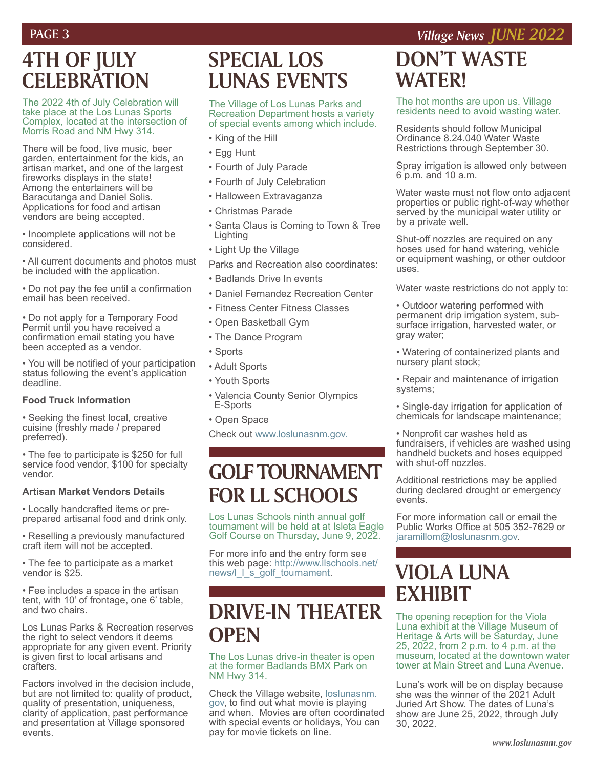#### PAGE 3 *Village News JUNE 2022*

# **4TH OF JULY CELEBRATION**

The 2022 4th of July Celebration will take place at the Los Lunas Sports Complex, located at the intersection of Morris Road and NM Hwy 314.

There will be food, live music, beer garden, entertainment for the kids, an artisan market, and one of the largest fireworks displays in the state! Among the entertainers will be Baracutanga and Daniel Solis. Applications for food and artisan vendors are being accepted.

• Incomplete applications will not be considered.

• All current documents and photos must be included with the application.

• Do not pay the fee until a confirmation email has been received.

• Do not apply for a Temporary Food Permit until you have received a confirmation email stating you have been accepted as a vendor.

• You will be notified of your participation status following the event's application deadline.

#### **Food Truck Information**

• Seeking the finest local, creative cuisine (freshly made / prepared preferred).

• The fee to participate is \$250 for full service food vendor, \$100 for specialty vendor.

#### **Artisan Market Vendors Details**

• Locally handcrafted items or preprepared artisanal food and drink only.

• Reselling a previously manufactured craft item will not be accepted.

• The fee to participate as a market vendor is \$25.

• Fee includes a space in the artisan tent, with 10' of frontage, one 6' table, and two chairs.

Los Lunas Parks & Recreation reserves the right to select vendors it deems appropriate for any given event. Priority is given first to local artisans and crafters.

Factors involved in the decision include, but are not limited to: quality of product, quality of presentation, uniqueness, clarity of application, past performance and presentation at Village sponsored events.

### **SPECIAL LOS LUNAS EVENTS**

#### The Village of Los Lunas Parks and Recreation Department hosts a variety of special events among which include.

- King of the Hill
- Egg Hunt
- Fourth of July Parade
- Fourth of July Celebration
- Halloween Extravaganza
- Christmas Parade
- Santa Claus is Coming to Town & Tree Lighting
- Light Up the Village

Parks and Recreation also coordinates:

- Badlands Drive In events
- Daniel Fernandez Recreation Center
- Fitness Center Fitness Classes
- Open Basketball Gym
- The Dance Program
- Sports
- Adult Sports
- Youth Sports
- Valencia County Senior Olympics E-Sports
- Open Space

Check out www.loslunasnm.gov.

## **GOLF TOURNAMENT FOR LL SCHOOLS**

Los Lunas Schools ninth annual golf tournament will be held at at Isleta Eagle Golf Course on Thursday, June 9, 2022.

For more info and the entry form see this web page: http://www.llschools.net/ news/I I s golf tournament.

## **DRIVE-IN THEATER OPEN**

The Los Lunas drive-in theater is open at the former Badlands BMX Park on NM Hwy 314.

Check the Village website, loslunasnm. gov, to find out what movie is playing and when. Movies are often coordinated with special events or holidays, You can pay for movie tickets on line.

## **DON'T WASTE WATER!**

The hot months are upon us. Village residents need to avoid wasting water.

Residents should follow Municipal Ordinance 8.24.040 Water Waste Restrictions through September 30.

Spray irrigation is allowed only between 6 p.m. and 10 a.m.

Water waste must not flow onto adjacent properties or public right-of-way whether served by the municipal water utility or by a private well.

Shut-off nozzles are required on any hoses used for hand watering, vehicle or equipment washing, or other outdoor uses.

Water waste restrictions do not apply to:

- Outdoor watering performed with permanent drip irrigation system, subsurface irrigation, harvested water, or gray water;
- Watering of containerized plants and nursery plant stock;
- Repair and maintenance of irrigation systems;
- Single-day irrigation for application of chemicals for landscape maintenance;
- Nonprofit car washes held as fundraisers, if vehicles are washed using handheld buckets and hoses equipped with shut-off nozzles.

Additional restrictions may be applied during declared drought or emergency events.

For more information call or email the Public Works Office at 505 352-7629 or jaramillom@loslunasnm.gov.

### **VIOLA LUNA EXHIBIT**

The opening reception for the Viola Luna exhibit at the Village Museum of Heritage & Arts will be Saturday, June 25, 2022, from 2 p.m. to 4 p.m. at the museum, located at the downtown water tower at Main Street and Luna Avenue.

Luna's work will be on display because she was the winner of the 2021 Adult Juried Art Show. The dates of Luna's show are June 25, 2022, through July 30, 2022.